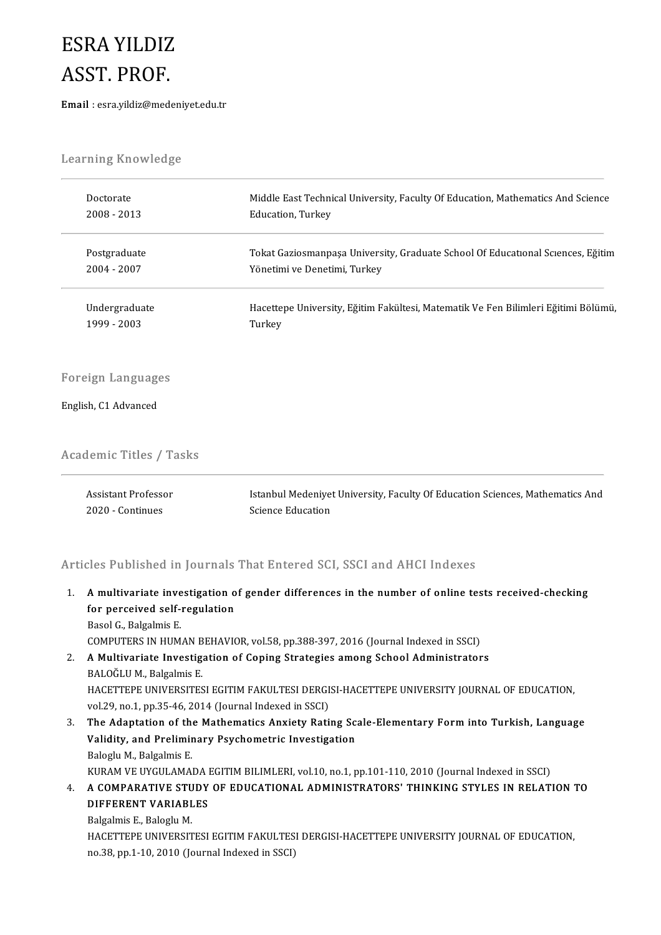## ESRAYILDIZ ESRA YILDIZ<br>ASST. PROF.<br>Email : esra.vildiz@mede  $\text{ASST.} \text{ } \text{PROF.}$ Email : esra.yildiz@medeniyet.edu.tr

.<br>Learning Knowledge

| Learning Knowledge             |                                                                                    |
|--------------------------------|------------------------------------------------------------------------------------|
| Doctorate                      | Middle East Technical University, Faculty Of Education, Mathematics And Science    |
| 2008 - 2013                    | Education, Turkey                                                                  |
| Postgraduate                   | Tokat Gaziosmanpaşa University, Graduate School Of Educational Sciences, Eğitim    |
| 2004 - 2007                    | Yönetimi ve Denetimi, Turkey                                                       |
| Undergraduate                  | Hacettepe University, Eğitim Fakültesi, Matematik Ve Fen Bilimleri Eğitimi Bölümü, |
| 1999 - 2003                    | Turkey                                                                             |
| Foreign Languages              |                                                                                    |
| English, C1 Advanced           |                                                                                    |
| <b>Academic Titles / Tasks</b> |                                                                                    |
| <b>Assistant Professor</b>     | Istanbul Medeniyet University, Faculty Of Education Sciences, Mathematics And      |
| 2020 - Continues               | Science Education                                                                  |

Articles Published in Journals That Entered SCI, SSCI and AHCI Indexes

nticles Published in Journals That Entered SCI, SSCI and AHCI Indexes<br>1. A multivariate investigation of gender differences in the number of online tests received-checking<br>for perseived self requision From a distincted in your naise<br>A multivariate investigation of<br>the perceived self-regulation for perceived self-regulation<br>Basol G., Balgalmis E.

COMPUTERS IN HUMAN BEHAVIOR, vol.58, pp.388-397, 2016 (Journal Indexed in SSCI)

- 2. AMultivariate Investigation of Coping Strategies among School Administrators BALOĞLUM., Balgalmis E. A Multivariate Investigation of Coping Strategies among School Administrators<br>BALOĞLU M., Balgalmis E.<br>HACETTEPE UNIVERSITESI EGITIM FAKULTESI DERGISI-HACETTEPE UNIVERSITY JOURNAL OF EDUCATION,<br>vol 29 no 1 nn 25 46 2014 (J BALOĞLU M., Balgalmis E.<br>HACETTEPE UNIVERSITESI EGITIM FAKULTESI DERGI.<br>vol.29, no.1, pp.35-46, 2014 (Journal Indexed in SSCI)<br>The Adentation of the Mathematics Anviety Bati
- 3. HACETTEPE UNIVERSITESI EGITIM FAKULTESI DERGISI-HACETTEPE UNIVERSITY JOURNAL OF EDUCATION,<br>1. The Adaptation of the Mathematics Anxiety Rating Scale-Elementary Form into Turkish, Language<br>3. The Adaptation of the Mathem vol.29, no.1, pp.35-46, 2014 (Journal Indexed in SSCI)<br>The Adaptation of the Mathematics Anxiety Rating Sc:<br>Validity, and Preliminary Psychometric Investigation<br>Raketh M. Pelsalmis F The Adaptation of the<br>Validity, and Prelimir<br>Baloglu M., Balgalmis E.<br>KURAM VE UVCULAMA Validity, and Preliminary Psychometric Investigation<br>Baloglu M., Balgalmis E.<br>KURAM VE UYGULAMADA EGITIM BILIMLERI, vol.10, no.1, pp.101-110, 2010 (Journal Indexed in SSCI)<br>A COMBARATIVE STUDY OF EDUCATIONAL ADMINISTRATORS
- Baloglu M., Balgalmis E.<br>KURAM VE UYGULAMADA EGITIM BILIMLERI, vol.10, no.1, pp.101-110, 2010 (Journal Indexed in SSCI)<br>4. A COMPARATIVE STUDY OF EDUCATIONAL ADMINISTRATORS' THINKING STYLES IN RELATION TO<br>DIEEEDENT VARI KURAM VE UYGULAMADA I<br><mark>A COMPARATIVE STUDY</mark><br>DIFFERENT VARIABLES<br>Bakalmia E. Balaglu M A COMPARATIVE STU<br>DIFFERENT VARIABL<br>Balgalmis E., Baloglu M.<br>HACETTEDE UNIVERSIT

DIFFERENT VARIABLES<br>Balgalmis E., Baloglu M.<br>HACETTEPE UNIVERSITESI EGITIM FAKULTESI DERGISI-HACETTEPE UNIVERSITY JOURNAL OF EDUCATION,<br>PS <sup>29,</sup> PP 1,19, 2010 (Journal Indoved in SSCL). Balgalmis E., Baloglu M.<br>HACETTEPE UNIVERSITESI EGITIM FAKULTESI<br>no.38, pp.1-10, 2010 (Journal Indexed in SSCI)